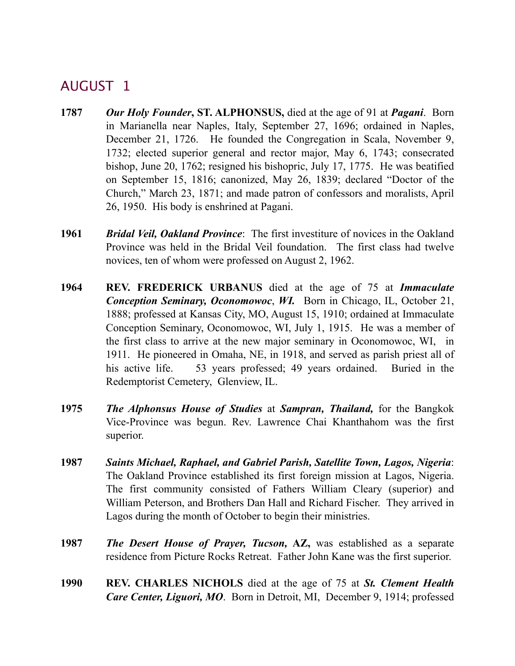- **1787** *Our Holy Founder***, ST. ALPHONSUS,** died at the age of 91 at *Pagani*. Born in Marianella near Naples, Italy, September 27, 1696; ordained in Naples, December 21, 1726. He founded the Congregation in Scala, November 9, 1732; elected superior general and rector major, May 6, 1743; consecrated bishop, June 20, 1762; resigned his bishopric, July 17, 1775. He was beatified on September 15, 1816; canonized, May 26, 1839; declared "Doctor of the Church," March 23, 1871; and made patron of confessors and moralists, April 26, 1950. His body is enshrined at Pagani.
- **1961** *Bridal Veil, Oakland Province*: The first investiture of novices in the Oakland Province was held in the Bridal Veil foundation. The first class had twelve novices, ten of whom were professed on August 2, 1962.
- **1964 REV. FREDERICK URBANUS** died at the age of 75 at *Immaculate Conception Seminary, Oconomowoc*, *WI.* Born in Chicago, IL, October 21, 1888; professed at Kansas City, MO, August 15, 1910; ordained at Immaculate Conception Seminary, Oconomowoc, WI, July 1, 1915. He was a member of the first class to arrive at the new major seminary in Oconomowoc, WI, in 1911. He pioneered in Omaha, NE, in 1918, and served as parish priest all of his active life. 53 years professed; 49 years ordained. Buried in the Redemptorist Cemetery, Glenview, IL.
- **1975** *The Alphonsus House of Studies* at *Sampran, Thailand,* for the Bangkok Vice-Province was begun. Rev. Lawrence Chai Khanthahom was the first superior.
- **1987** *Saints Michael, Raphael, and Gabriel Parish, Satellite Town, Lagos, Nigeria*: The Oakland Province established its first foreign mission at Lagos, Nigeria. The first community consisted of Fathers William Cleary (superior) and William Peterson, and Brothers Dan Hall and Richard Fischer. They arrived in Lagos during the month of October to begin their ministries.
- **1987** *The Desert House of Prayer, Tucson,* **AZ,** was established as a separate residence from Picture Rocks Retreat. Father John Kane was the first superior.
- **1990 REV. CHARLES NICHOLS** died at the age of 75 at *St. Clement Health Care Center, Liguori, MO*. Born in Detroit, MI, December 9, 1914; professed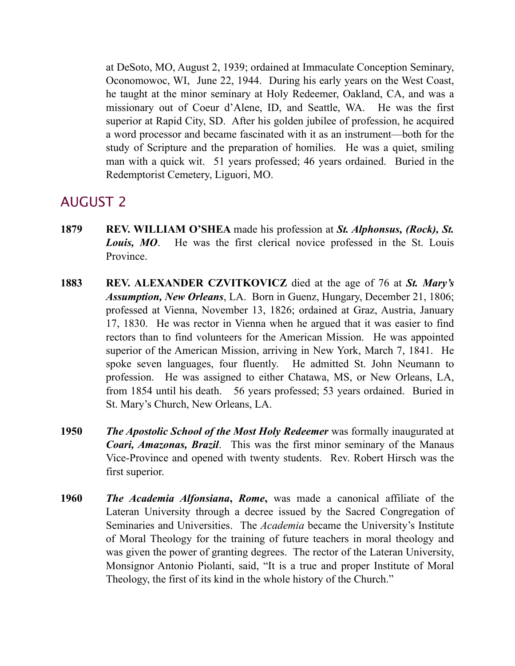at DeSoto, MO, August 2, 1939; ordained at Immaculate Conception Seminary, Oconomowoc, WI, June 22, 1944. During his early years on the West Coast, he taught at the minor seminary at Holy Redeemer, Oakland, CA, and was a missionary out of Coeur d'Alene, ID, and Seattle, WA. He was the first superior at Rapid City, SD. After his golden jubilee of profession, he acquired a word processor and became fascinated with it as an instrument—both for the study of Scripture and the preparation of homilies. He was a quiet, smiling man with a quick wit. 51 years professed; 46 years ordained. Buried in the Redemptorist Cemetery, Liguori, MO.

- **1879 REV. WILLIAM O'SHEA** made his profession at *St. Alphonsus, (Rock), St. Louis, MO*. He was the first clerical novice professed in the St. Louis Province.
- **1883 REV. ALEXANDER CZVITKOVICZ** died at the age of 76 at *St. Mary's Assumption, New Orleans*, LA. Born in Guenz, Hungary, December 21, 1806; professed at Vienna, November 13, 1826; ordained at Graz, Austria, January 17, 1830. He was rector in Vienna when he argued that it was easier to find rectors than to find volunteers for the American Mission. He was appointed superior of the American Mission, arriving in New York, March 7, 1841. He spoke seven languages, four fluently. He admitted St. John Neumann to profession. He was assigned to either Chatawa, MS, or New Orleans, LA, from 1854 until his death. 56 years professed; 53 years ordained. Buried in St. Mary's Church, New Orleans, LA.
- **1950** *The Apostolic School of the Most Holy Redeemer* was formally inaugurated at *Coari, Amazonas, Brazil*. This was the first minor seminary of the Manaus Vice-Province and opened with twenty students. Rev. Robert Hirsch was the first superior.
- **1960** *The Academia Alfonsiana***,** *Rome***,** was made a canonical affiliate of the Lateran University through a decree issued by the Sacred Congregation of Seminaries and Universities. The *Academia* became the University's Institute of Moral Theology for the training of future teachers in moral theology and was given the power of granting degrees. The rector of the Lateran University, Monsignor Antonio Piolanti, said, "It is a true and proper Institute of Moral Theology, the first of its kind in the whole history of the Church."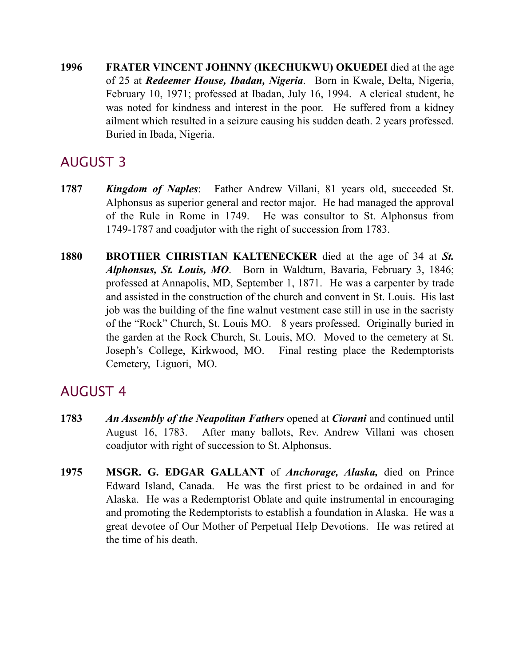**1996 FRATER VINCENT JOHNNY (IKECHUKWU) OKUEDEI** died at the age of 25 at *Redeemer House, Ibadan, Nigeria*. Born in Kwale, Delta, Nigeria, February 10, 1971; professed at Ibadan, July 16, 1994. A clerical student, he was noted for kindness and interest in the poor. He suffered from a kidney ailment which resulted in a seizure causing his sudden death. 2 years professed. Buried in Ibada, Nigeria.

# AUGUST 3

- **1787** *Kingdom of Naples*: Father Andrew Villani, 81 years old, succeeded St. Alphonsus as superior general and rector major. He had managed the approval of the Rule in Rome in 1749. He was consultor to St. Alphonsus from 1749-1787 and coadjutor with the right of succession from 1783.
- **1880 BROTHER CHRISTIAN KALTENECKER** died at the age of 34 at *St. Alphonsus, St. Louis, MO*. Born in Waldturn, Bavaria, February 3, 1846; professed at Annapolis, MD, September 1, 1871. He was a carpenter by trade and assisted in the construction of the church and convent in St. Louis. His last job was the building of the fine walnut vestment case still in use in the sacristy of the "Rock" Church, St. Louis MO. 8 years professed. Originally buried in the garden at the Rock Church, St. Louis, MO. Moved to the cemetery at St. Joseph's College, Kirkwood, MO. Final resting place the Redemptorists Cemetery, Liguori, MO.

- **1783** *An Assembly of the Neapolitan Fathers* opened at *Ciorani* and continued until August 16, 1783. After many ballots, Rev. Andrew Villani was chosen coadjutor with right of succession to St. Alphonsus.
- **1975 MSGR. G. EDGAR GALLANT** of *Anchorage, Alaska,* died on Prince Edward Island, Canada. He was the first priest to be ordained in and for Alaska. He was a Redemptorist Oblate and quite instrumental in encouraging and promoting the Redemptorists to establish a foundation in Alaska. He was a great devotee of Our Mother of Perpetual Help Devotions. He was retired at the time of his death.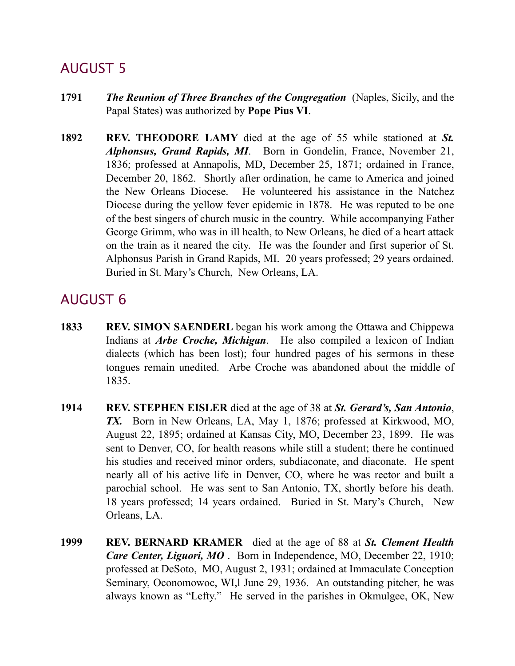- **1791** *The Reunion of Three Branches of the Congregation* (Naples, Sicily, and the Papal States) was authorized by **Pope Pius VI**.
- **1892 REV. THEODORE LAMY** died at the age of 55 while stationed at *St. Alphonsus, Grand Rapids, MI*. Born in Gondelin, France, November 21, 1836; professed at Annapolis, MD, December 25, 1871; ordained in France, December 20, 1862. Shortly after ordination, he came to America and joined the New Orleans Diocese. He volunteered his assistance in the Natchez Diocese during the yellow fever epidemic in 1878. He was reputed to be one of the best singers of church music in the country. While accompanying Father George Grimm, who was in ill health, to New Orleans, he died of a heart attack on the train as it neared the city. He was the founder and first superior of St. Alphonsus Parish in Grand Rapids, MI. 20 years professed; 29 years ordained. Buried in St. Mary's Church, New Orleans, LA.

- **1833 REV. SIMON SAENDERL** began his work among the Ottawa and Chippewa Indians at *Arbe Croche, Michigan*. He also compiled a lexicon of Indian dialects (which has been lost); four hundred pages of his sermons in these tongues remain unedited. Arbe Croche was abandoned about the middle of 1835.
- **1914 REV. STEPHEN EISLER** died at the age of 38 at *St. Gerard's, San Antonio*, *TX.* Born in New Orleans, LA, May 1, 1876; professed at Kirkwood, MO, August 22, 1895; ordained at Kansas City, MO, December 23, 1899. He was sent to Denver, CO, for health reasons while still a student; there he continued his studies and received minor orders, subdiaconate, and diaconate. He spent nearly all of his active life in Denver, CO, where he was rector and built a parochial school. He was sent to San Antonio, TX, shortly before his death. 18 years professed; 14 years ordained. Buried in St. Mary's Church, New Orleans, LA.
- **1999 REV. BERNARD KRAMER** died at the age of 88 at *St. Clement Health Care Center, Liguori, MO* . Born in Independence, MO, December 22, 1910; professed at DeSoto, MO, August 2, 1931; ordained at Immaculate Conception Seminary, Oconomowoc, WI,l June 29, 1936. An outstanding pitcher, he was always known as "Lefty." He served in the parishes in Okmulgee, OK, New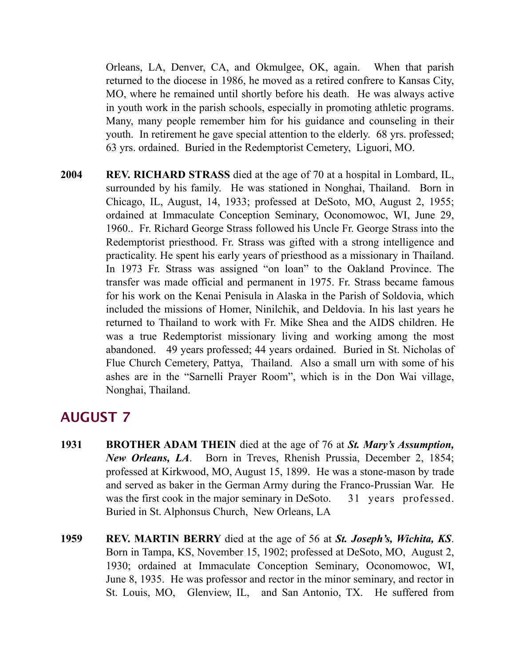Orleans, LA, Denver, CA, and Okmulgee, OK, again. When that parish returned to the diocese in 1986, he moved as a retired confrere to Kansas City, MO, where he remained until shortly before his death. He was always active in youth work in the parish schools, especially in promoting athletic programs. Many, many people remember him for his guidance and counseling in their youth. In retirement he gave special attention to the elderly. 68 yrs. professed; 63 yrs. ordained. Buried in the Redemptorist Cemetery, Liguori, MO.

**2004 REV. RICHARD STRASS** died at the age of 70 at a hospital in Lombard, IL, surrounded by his family. He was stationed in Nonghai, Thailand. Born in Chicago, IL, August, 14, 1933; professed at DeSoto, MO, August 2, 1955; ordained at Immaculate Conception Seminary, Oconomowoc, WI, June 29, 1960.. Fr. Richard George Strass followed his Uncle Fr. George Strass into the Redemptorist priesthood. Fr. Strass was gifted with a strong intelligence and practicality. He spent his early years of priesthood as a missionary in Thailand. In 1973 Fr. Strass was assigned "on loan" to the Oakland Province. The transfer was made official and permanent in 1975. Fr. Strass became famous for his work on the Kenai Penisula in Alaska in the Parish of Soldovia, which included the missions of Homer, Ninilchik, and Deldovia. In his last years he returned to Thailand to work with Fr. Mike Shea and the AIDS children. He was a true Redemptorist missionary living and working among the most abandoned. 49 years professed; 44 years ordained. Buried in St. Nicholas of Flue Church Cemetery, Pattya, Thailand. Also a small urn with some of his ashes are in the "Sarnelli Prayer Room", which is in the Don Wai village, Nonghai, Thailand.

- **1931 BROTHER ADAM THEIN** died at the age of 76 at *St. Mary's Assumption, New Orleans, LA*. Born in Treves, Rhenish Prussia, December 2, 1854; professed at Kirkwood, MO, August 15, 1899. He was a stone-mason by trade and served as baker in the German Army during the Franco-Prussian War. He was the first cook in the major seminary in DeSoto. 31 years professed. Buried in St. Alphonsus Church, New Orleans, LA
- **1959 REV. MARTIN BERRY** died at the age of 56 at *St. Joseph's, Wichita, KS*. Born in Tampa, KS, November 15, 1902; professed at DeSoto, MO, August 2, 1930; ordained at Immaculate Conception Seminary, Oconomowoc, WI, June 8, 1935. He was professor and rector in the minor seminary, and rector in St. Louis, MO, Glenview, IL, and San Antonio, TX. He suffered from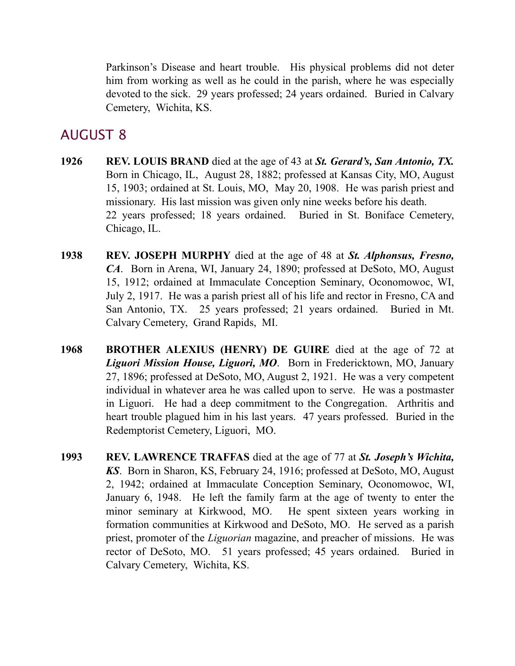Parkinson's Disease and heart trouble. His physical problems did not deter him from working as well as he could in the parish, where he was especially devoted to the sick. 29 years professed; 24 years ordained. Buried in Calvary Cemetery, Wichita, KS.

- **1926 REV. LOUIS BRAND** died at the age of 43 at *St. Gerard's, San Antonio, TX.*  Born in Chicago, IL, August 28, 1882; professed at Kansas City, MO, August 15, 1903; ordained at St. Louis, MO, May 20, 1908. He was parish priest and missionary. His last mission was given only nine weeks before his death. 22 years professed; 18 years ordained. Buried in St. Boniface Cemetery, Chicago, IL.
- **1938 REV. JOSEPH MURPHY** died at the age of 48 at *St. Alphonsus, Fresno, CA*. Born in Arena, WI, January 24, 1890; professed at DeSoto, MO, August 15, 1912; ordained at Immaculate Conception Seminary, Oconomowoc, WI, July 2, 1917. He was a parish priest all of his life and rector in Fresno, CA and San Antonio, TX. 25 years professed; 21 years ordained. Buried in Mt. Calvary Cemetery, Grand Rapids, MI.
- **1968 BROTHER ALEXIUS (HENRY) DE GUIRE** died at the age of 72 at *Liguori Mission House, Liguori, MO*. Born in Fredericktown, MO, January 27, 1896; professed at DeSoto, MO, August 2, 1921. He was a very competent individual in whatever area he was called upon to serve. He was a postmaster in Liguori. He had a deep commitment to the Congregation. Arthritis and heart trouble plagued him in his last years. 47 years professed. Buried in the Redemptorist Cemetery, Liguori, MO.
- **1993 REV. LAWRENCE TRAFFAS** died at the age of 77 at *St. Joseph's Wichita, KS*.Born in Sharon, KS, February 24, 1916; professed at DeSoto, MO, August 2, 1942; ordained at Immaculate Conception Seminary, Oconomowoc, WI, January 6, 1948. He left the family farm at the age of twenty to enter the minor seminary at Kirkwood, MO. He spent sixteen years working in formation communities at Kirkwood and DeSoto, MO. He served as a parish priest, promoter of the *Liguorian* magazine, and preacher of missions. He was rector of DeSoto, MO. 51 years professed; 45 years ordained. Buried in Calvary Cemetery, Wichita, KS.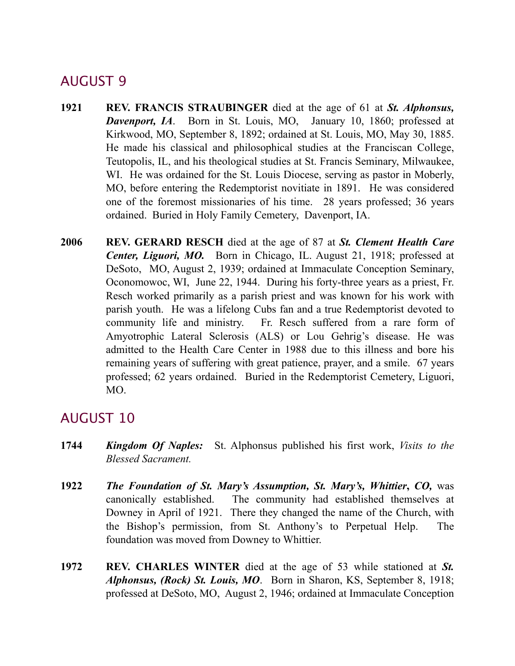- **1921 REV. FRANCIS STRAUBINGER** died at the age of 61 at *St. Alphonsus,*  **Davenport, IA.** Born in St. Louis, MO, January 10, 1860; professed at Kirkwood, MO, September 8, 1892; ordained at St. Louis, MO, May 30, 1885. He made his classical and philosophical studies at the Franciscan College, Teutopolis, IL, and his theological studies at St. Francis Seminary, Milwaukee, WI. He was ordained for the St. Louis Diocese, serving as pastor in Moberly, MO, before entering the Redemptorist novitiate in 1891. He was considered one of the foremost missionaries of his time. 28 years professed; 36 years ordained. Buried in Holy Family Cemetery, Davenport, IA.
- **2006 REV. GERARD RESCH** died at the age of 87 at *St. Clement Health Care Center, Liguori, MO.* Born in Chicago, IL. August 21, 1918; professed at DeSoto, MO, August 2, 1939; ordained at Immaculate Conception Seminary, Oconomowoc, WI, June 22, 1944. During his forty-three years as a priest, Fr. Resch worked primarily as a parish priest and was known for his work with parish youth. He was a lifelong Cubs fan and a true Redemptorist devoted to community life and ministry. Fr. Resch suffered from a rare form of Amyotrophic Lateral Sclerosis (ALS) or Lou Gehrig's disease. He was admitted to the Health Care Center in 1988 due to this illness and bore his remaining years of suffering with great patience, prayer, and a smile. 67 years professed; 62 years ordained. Buried in the Redemptorist Cemetery, Liguori, MO.

- **1744** *Kingdom Of Naples:* St. Alphonsus published his first work, *Visits to the Blessed Sacrament.*
- **1922** *The Foundation of St. Mary's Assumption, St. Mary's, Whittier***,** *CO,* was canonically established. The community had established themselves at Downey in April of 1921. There they changed the name of the Church, with the Bishop's permission, from St. Anthony's to Perpetual Help. The foundation was moved from Downey to Whittier.
- **1972 REV. CHARLES WINTER** died at the age of 53 while stationed at *St. Alphonsus, (Rock) St. Louis, MO*. Born in Sharon, KS, September 8, 1918; professed at DeSoto, MO, August 2, 1946; ordained at Immaculate Conception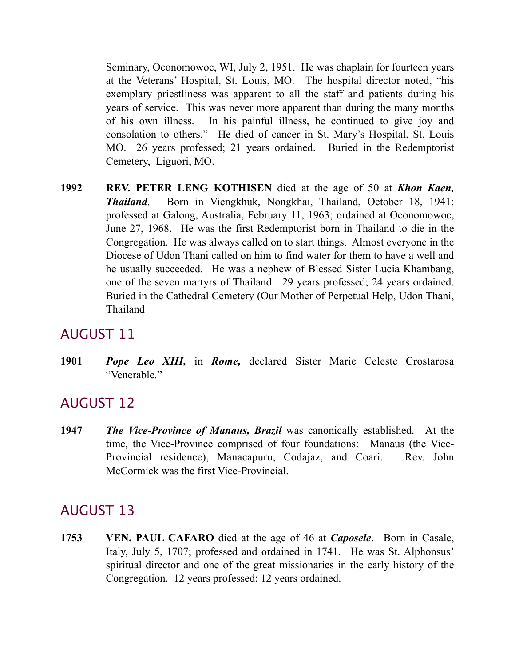Seminary, Oconomowoc, WI, July 2, 1951. He was chaplain for fourteen years at the Veterans' Hospital, St. Louis, MO. The hospital director noted, "his exemplary priestliness was apparent to all the staff and patients during his years of service. This was never more apparent than during the many months of his own illness. In his painful illness, he continued to give joy and consolation to others." He died of cancer in St. Mary's Hospital, St. Louis MO. 26 years professed; 21 years ordained. Buried in the Redemptorist Cemetery, Liguori, MO.

**1992 REV. PETER LENG KOTHISEN** died at the age of 50 at *Khon Kaen, Thailand*. Born in Viengkhuk, Nongkhai, Thailand, October 18, 1941; professed at Galong, Australia, February 11, 1963; ordained at Oconomowoc, June 27, 1968. He was the first Redemptorist born in Thailand to die in the Congregation. He was always called on to start things. Almost everyone in the Diocese of Udon Thani called on him to find water for them to have a well and he usually succeeded. He was a nephew of Blessed Sister Lucia Khambang, one of the seven martyrs of Thailand. 29 years professed; 24 years ordained. Buried in the Cathedral Cemetery (Our Mother of Perpetual Help, Udon Thani, Thailand

### AUGUST 11

**1901** *Pope Leo XIII,* in *Rome,* declared Sister Marie Celeste Crostarosa "Venerable."

## AUGUST 12

**1947** *The Vice-Province of Manaus, Brazil* was canonically established. At the time, the Vice-Province comprised of four foundations: Manaus (the Vice-Provincial residence), Manacapuru, Codajaz, and Coari. Rev. John McCormick was the first Vice-Provincial.

# AUGUST 13

**1753 VEN. PAUL CAFARO** died at the age of 46 at *Caposele*. Born in Casale, Italy, July 5, 1707; professed and ordained in 1741. He was St. Alphonsus' spiritual director and one of the great missionaries in the early history of the Congregation. 12 years professed; 12 years ordained.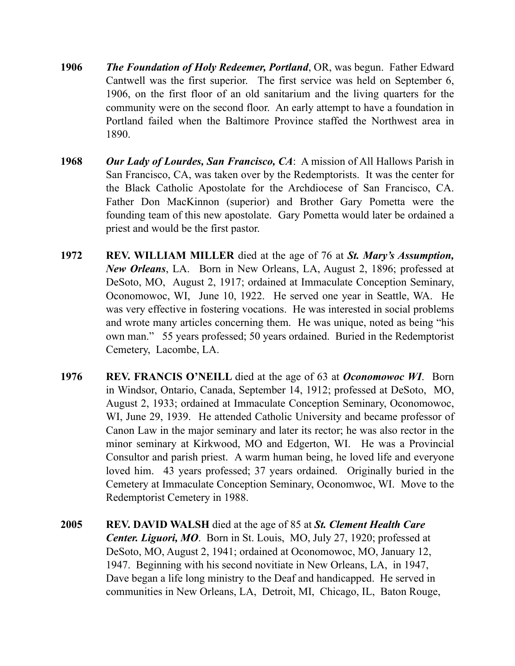- **1906** *The Foundation of Holy Redeemer, Portland*, OR, was begun. Father Edward Cantwell was the first superior. The first service was held on September 6, 1906, on the first floor of an old sanitarium and the living quarters for the community were on the second floor. An early attempt to have a foundation in Portland failed when the Baltimore Province staffed the Northwest area in 1890.
- **1968** *Our Lady of Lourdes, San Francisco, CA*: A mission of All Hallows Parish in San Francisco, CA, was taken over by the Redemptorists. It was the center for the Black Catholic Apostolate for the Archdiocese of San Francisco, CA. Father Don MacKinnon (superior) and Brother Gary Pometta were the founding team of this new apostolate. Gary Pometta would later be ordained a priest and would be the first pastor.
- **1972 REV. WILLIAM MILLER** died at the age of 76 at *St. Mary's Assumption, New Orleans*, LA. Born in New Orleans, LA, August 2, 1896; professed at DeSoto, MO, August 2, 1917; ordained at Immaculate Conception Seminary, Oconomowoc, WI, June 10, 1922. He served one year in Seattle, WA. He was very effective in fostering vocations. He was interested in social problems and wrote many articles concerning them. He was unique, noted as being "his own man." 55 years professed; 50 years ordained. Buried in the Redemptorist Cemetery, Lacombe, LA.
- **1976 REV. FRANCIS O'NEILL** died at the age of 63 at *Oconomowoc WI*. Born in Windsor, Ontario, Canada, September 14, 1912; professed at DeSoto, MO, August 2, 1933; ordained at Immaculate Conception Seminary, Oconomowoc, WI, June 29, 1939. He attended Catholic University and became professor of Canon Law in the major seminary and later its rector; he was also rector in the minor seminary at Kirkwood, MO and Edgerton, WI. He was a Provincial Consultor and parish priest. A warm human being, he loved life and everyone loved him. 43 years professed; 37 years ordained. Originally buried in the Cemetery at Immaculate Conception Seminary, Oconomwoc, WI. Move to the Redemptorist Cemetery in 1988.
- **2005 REV. DAVID WALSH** died at the age of 85 at *St. Clement Health Care Center. Liguori, MO*. Born in St. Louis, MO, July 27, 1920; professed at DeSoto, MO, August 2, 1941; ordained at Oconomowoc, MO, January 12, 1947. Beginning with his second novitiate in New Orleans, LA, in 1947, Dave began a life long ministry to the Deaf and handicapped. He served in communities in New Orleans, LA, Detroit, MI, Chicago, IL, Baton Rouge,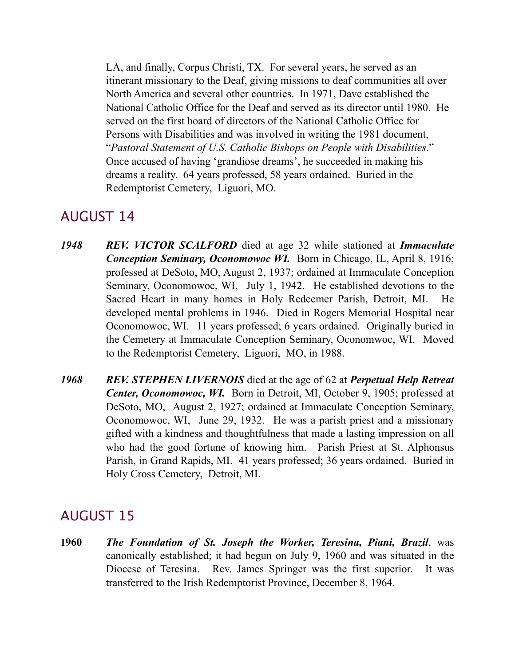LA, and finally, Corpus Christi, TX. For several years, he served as an itinerant missionary to the Deaf, giving missions to deaf communities all over North America and several other countries. In 1971, Dave established the National Catholic Office for the Deaf and served as its director until 1980. He served on the first board of directors of the National Catholic Office for Persons with Disabilities and was involved in writing the 1981 document, "*Pastoral Statement of U.S. Catholic Bishops on People with Disabilities*." Once accused of having 'grandiose dreams', he succeeded in making his dreams a reality. 64 years professed, 58 years ordained. Buried in the Redemptorist Cemetery, Liguori, MO.

#### AUGUST 14

- *1948 REV. VICTOR SCALFORD* died at age 32 while stationed at *Immaculate Conception Seminary, Oconomowoc WI.* Born in Chicago, IL, April 8, 1916; professed at DeSoto, MO, August 2, 1937; ordained at Immaculate Conception Seminary, Oconomowoc, WI, July 1, 1942. He established devotions to the Sacred Heart in many homes in Holy Redeemer Parish, Detroit, MI. He developed mental problems in 1946. Died in Rogers Memorial Hospital near Oconomowoc, WI. 11 years professed; 6 years ordained. Originally buried in the Cemetery at Immaculate Conception Seminary, Oconomwoc, WI. Moved to the Redemptorist Cemetery, Liguori, MO, in 1988.
- *1968 REV. STEPHEN LIVERNOIS* died at the age of 62 at *Perpetual Help Retreat Center, Oconomowoc, WI.* Born in Detroit, MI, October 9, 1905; professed at DeSoto, MO, August 2, 1927; ordained at Immaculate Conception Seminary, Oconomowoc, WI, June 29, 1932. He was a parish priest and a missionary gifted with a kindness and thoughtfulness that made a lasting impression on all who had the good fortune of knowing him. Parish Priest at St. Alphonsus Parish, in Grand Rapids, MI. 41 years professed; 36 years ordained. Buried in Holy Cross Cemetery, Detroit, MI.

#### AUGUST 15

**1960** *The Foundation of St. Joseph the Worker, Teresina, Piani, Brazil*, was canonically established; it had begun on July 9, 1960 and was situated in the Diocese of Teresina. Rev. James Springer was the first superior. It was transferred to the Irish Redemptorist Province, December 8, 1964.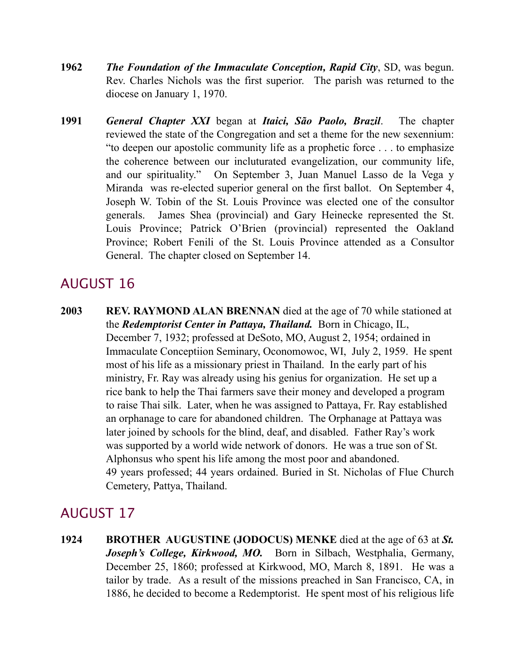- **1962** *The Foundation of the Immaculate Conception, Rapid City*, SD, was begun. Rev. Charles Nichols was the first superior. The parish was returned to the diocese on January 1, 1970.
- **1991** *General Chapter XXI* began at *Itaici, São Paolo, Brazil*. The chapter reviewed the state of the Congregation and set a theme for the new sexennium: "to deepen our apostolic community life as a prophetic force . . . to emphasize the coherence between our incluturated evangelization, our community life, and our spirituality." On September 3, Juan Manuel Lasso de la Vega y Miranda was re-elected superior general on the first ballot. On September 4, Joseph W. Tobin of the St. Louis Province was elected one of the consultor generals. James Shea (provincial) and Gary Heinecke represented the St. Louis Province; Patrick O'Brien (provincial) represented the Oakland Province; Robert Fenili of the St. Louis Province attended as a Consultor General. The chapter closed on September 14.

**2003 REV. RAYMOND ALAN BRENNAN** died at the age of 70 while stationed at the *Redemptorist Center in Pattaya, Thailand.* Born in Chicago, IL, December 7, 1932; professed at DeSoto, MO, August 2, 1954; ordained in Immaculate Conceptiion Seminary, Oconomowoc, WI, July 2, 1959. He spent most of his life as a missionary priest in Thailand. In the early part of his ministry, Fr. Ray was already using his genius for organization. He set up a rice bank to help the Thai farmers save their money and developed a program to raise Thai silk. Later, when he was assigned to Pattaya, Fr. Ray established an orphanage to care for abandoned children. The Orphanage at Pattaya was later joined by schools for the blind, deaf, and disabled. Father Ray's work was supported by a world wide network of donors. He was a true son of St. Alphonsus who spent his life among the most poor and abandoned. 49 years professed; 44 years ordained. Buried in St. Nicholas of Flue Church Cemetery, Pattya, Thailand.

# AUGUST 17

**1924 BROTHER AUGUSTINE (JODOCUS) MENKE** died at the age of 63 at *St.*  Joseph's College, Kirkwood, MO. Born in Silbach, Westphalia, Germany, December 25, 1860; professed at Kirkwood, MO, March 8, 1891. He was a tailor by trade. As a result of the missions preached in San Francisco, CA, in 1886, he decided to become a Redemptorist. He spent most of his religious life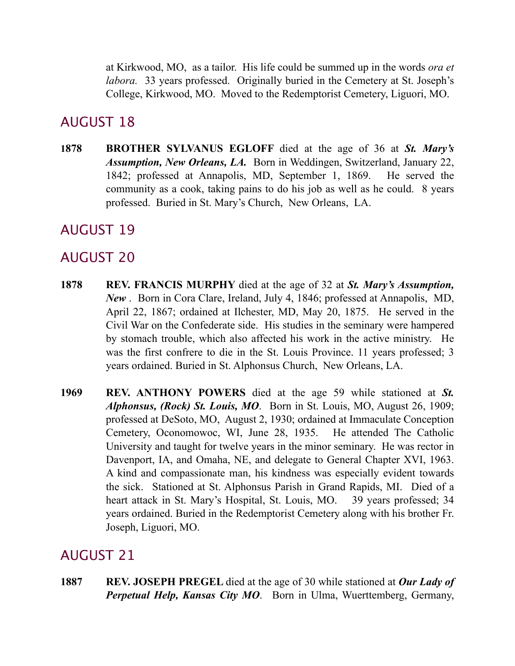at Kirkwood, MO, as a tailor. His life could be summed up in the words *ora et labora.* 33 years professed. Originally buried in the Cemetery at St. Joseph's College, Kirkwood, MO. Moved to the Redemptorist Cemetery, Liguori, MO.

## AUGUST 18

**1878 BROTHER SYLVANUS EGLOFF** died at the age of 36 at *St. Mary's Assumption, New Orleans, LA.* Born in Weddingen, Switzerland, January 22, 1842; professed at Annapolis, MD, September 1, 1869. He served the community as a cook, taking pains to do his job as well as he could. 8 years professed. Buried in St. Mary's Church, New Orleans, LA.

## AUGUST 19

## AUGUST 20

- **1878 REV. FRANCIS MURPHY** died at the age of 32 at *St. Mary's Assumption, New* . Born in Cora Clare, Ireland, July 4, 1846; professed at Annapolis, MD, April 22, 1867; ordained at Ilchester, MD, May 20, 1875. He served in the Civil War on the Confederate side. His studies in the seminary were hampered by stomach trouble, which also affected his work in the active ministry. He was the first confrere to die in the St. Louis Province. 11 years professed; 3 years ordained. Buried in St. Alphonsus Church, New Orleans, LA.
- **1969 REV. ANTHONY POWERS** died at the age 59 while stationed at *St. Alphonsus, (Rock) St. Louis, MO*. Born in St. Louis, MO, August 26, 1909; professed at DeSoto, MO, August 2, 1930; ordained at Immaculate Conception Cemetery, Oconomowoc, WI, June 28, 1935. He attended The Catholic University and taught for twelve years in the minor seminary. He was rector in Davenport, IA, and Omaha, NE, and delegate to General Chapter XVI, 1963. A kind and compassionate man, his kindness was especially evident towards the sick. Stationed at St. Alphonsus Parish in Grand Rapids, MI. Died of a heart attack in St. Mary's Hospital, St. Louis, MO. 39 years professed; 34 years ordained. Buried in the Redemptorist Cemetery along with his brother Fr. Joseph, Liguori, MO.

## AUGUST 21

**1887 REV. JOSEPH PREGEL** died at the age of 30 while stationed at *Our Lady of Perpetual Help, Kansas City MO*. Born in Ulma, Wuerttemberg, Germany,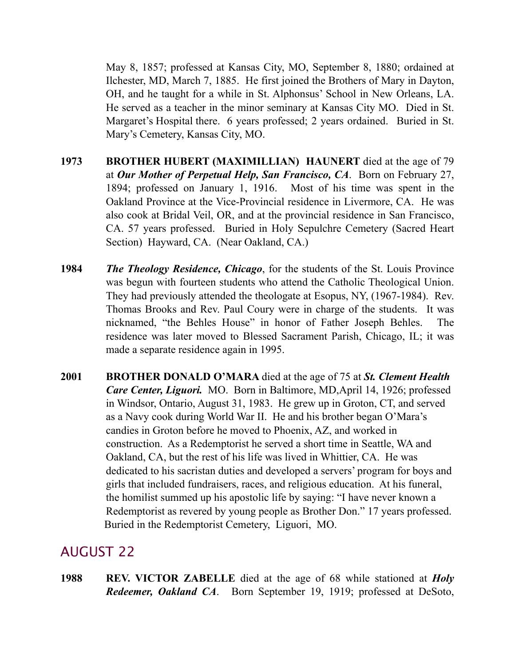May 8, 1857; professed at Kansas City, MO, September 8, 1880; ordained at Ilchester, MD, March 7, 1885. He first joined the Brothers of Mary in Dayton, OH, and he taught for a while in St. Alphonsus' School in New Orleans, LA. He served as a teacher in the minor seminary at Kansas City MO. Died in St. Margaret's Hospital there. 6 years professed; 2 years ordained. Buried in St. Mary's Cemetery, Kansas City, MO.

- **1973 BROTHER HUBERT (MAXIMILLIAN) HAUNERT** died at the age of 79 at *Our Mother of Perpetual Help, San Francisco, CA*. Born on February 27, 1894; professed on January 1, 1916. Most of his time was spent in the Oakland Province at the Vice-Provincial residence in Livermore, CA. He was also cook at Bridal Veil, OR, and at the provincial residence in San Francisco, CA. 57 years professed. Buried in Holy Sepulchre Cemetery (Sacred Heart Section) Hayward, CA. (Near Oakland, CA.)
- **1984** *The Theology Residence, Chicago*, for the students of the St. Louis Province was begun with fourteen students who attend the Catholic Theological Union. They had previously attended the theologate at Esopus, NY, (1967-1984). Rev. Thomas Brooks and Rev. Paul Coury were in charge of the students. It was nicknamed, "the Behles House" in honor of Father Joseph Behles. The residence was later moved to Blessed Sacrament Parish, Chicago, IL; it was made a separate residence again in 1995.
- **2001 BROTHER DONALD O'MARA** died at the age of 75 at *St. Clement Health Care Center, Liguori.* MO. Born in Baltimore, MD,April 14, 1926; professed in Windsor, Ontario, August 31, 1983. He grew up in Groton, CT, and served as a Navy cook during World War II. He and his brother began O'Mara's candies in Groton before he moved to Phoenix, AZ, and worked in construction. As a Redemptorist he served a short time in Seattle, WA and Oakland, CA, but the rest of his life was lived in Whittier, CA. He was dedicated to his sacristan duties and developed a servers' program for boys and girls that included fundraisers, races, and religious education. At his funeral, the homilist summed up his apostolic life by saying: "I have never known a Redemptorist as revered by young people as Brother Don." 17 years professed. Buried in the Redemptorist Cemetery, Liguori, MO.

#### AUGUST 22

**1988 REV. VICTOR ZABELLE** died at the age of 68 while stationed at *Holy Redeemer, Oakland CA*. Born September 19, 1919; professed at DeSoto,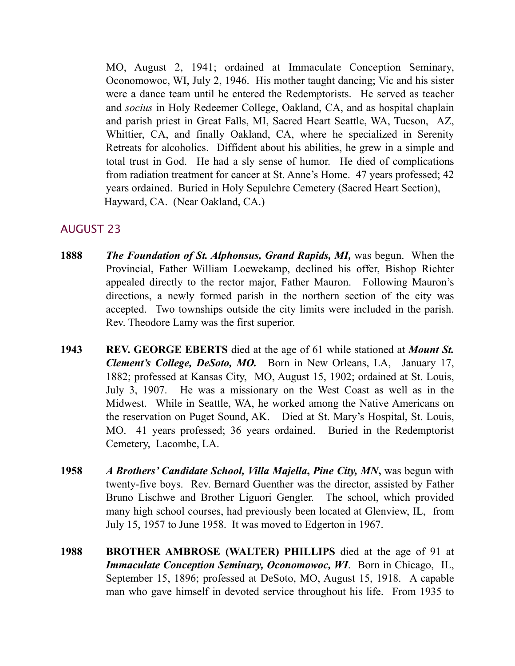MO, August 2, 1941; ordained at Immaculate Conception Seminary, Oconomowoc, WI, July 2, 1946. His mother taught dancing; Vic and his sister were a dance team until he entered the Redemptorists. He served as teacher and *socius* in Holy Redeemer College, Oakland, CA, and as hospital chaplain and parish priest in Great Falls, MI, Sacred Heart Seattle, WA, Tucson, AZ, Whittier, CA, and finally Oakland, CA, where he specialized in Serenity Retreats for alcoholics. Diffident about his abilities, he grew in a simple and total trust in God. He had a sly sense of humor. He died of complications from radiation treatment for cancer at St. Anne's Home. 47 years professed; 42 years ordained. Buried in Holy Sepulchre Cemetery (Sacred Heart Section), Hayward, CA. (Near Oakland, CA.)

- **1888** *The Foundation of St. Alphonsus, Grand Rapids, MI,* was begun. When the Provincial, Father William Loewekamp, declined his offer, Bishop Richter appealed directly to the rector major, Father Mauron. Following Mauron's directions, a newly formed parish in the northern section of the city was accepted. Two townships outside the city limits were included in the parish. Rev. Theodore Lamy was the first superior.
- **1943 REV. GEORGE EBERTS** died at the age of 61 while stationed at *Mount St. Clement's College, DeSoto, MO.* Born in New Orleans, LA, January 17, 1882; professed at Kansas City, MO, August 15, 1902; ordained at St. Louis, July 3, 1907. He was a missionary on the West Coast as well as in the Midwest. While in Seattle, WA, he worked among the Native Americans on the reservation on Puget Sound, AK. Died at St. Mary's Hospital, St. Louis, MO. 41 years professed; 36 years ordained. Buried in the Redemptorist Cemetery, Lacombe, LA.
- **1958** *A Brothers' Candidate School, Villa Majella***,** *Pine City, MN***,** was begun with twenty-five boys. Rev. Bernard Guenther was the director, assisted by Father Bruno Lischwe and Brother Liguori Gengler. The school, which provided many high school courses, had previously been located at Glenview, IL, from July 15, 1957 to June 1958. It was moved to Edgerton in 1967.
- **1988 BROTHER AMBROSE (WALTER) PHILLIPS** died at the age of 91 at *Immaculate Conception Seminary, Oconomowoc, WI*. Born in Chicago, IL, September 15, 1896; professed at DeSoto, MO, August 15, 1918. A capable man who gave himself in devoted service throughout his life. From 1935 to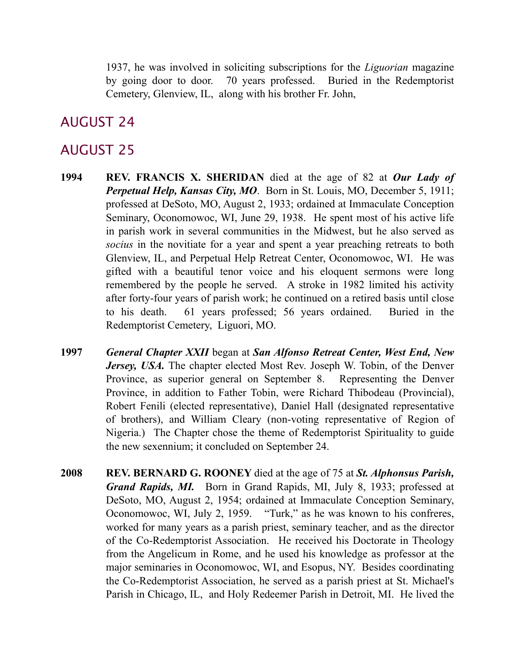1937, he was involved in soliciting subscriptions for the *Liguorian* magazine by going door to door. 70 years professed. Buried in the Redemptorist Cemetery, Glenview, IL, along with his brother Fr. John,

### AUGUST 24

- **1994 REV. FRANCIS X. SHERIDAN** died at the age of 82 at *Our Lady of Perpetual Help, Kansas City, MO*. Born in St. Louis, MO, December 5, 1911; professed at DeSoto, MO, August 2, 1933; ordained at Immaculate Conception Seminary, Oconomowoc, WI, June 29, 1938. He spent most of his active life in parish work in several communities in the Midwest, but he also served as *socius* in the novitiate for a year and spent a year preaching retreats to both Glenview, IL, and Perpetual Help Retreat Center, Oconomowoc, WI. He was gifted with a beautiful tenor voice and his eloquent sermons were long remembered by the people he served. A stroke in 1982 limited his activity after forty-four years of parish work; he continued on a retired basis until close to his death. 61 years professed; 56 years ordained. Buried in the Redemptorist Cemetery, Liguori, MO.
- **1997** *General Chapter XXII* began at *San Alfonso Retreat Center, West End, New Jersey, USA.* The chapter elected Most Rev. Joseph W. Tobin, of the Denver Province, as superior general on September 8. Representing the Denver Province, in addition to Father Tobin, were Richard Thibodeau (Provincial), Robert Fenili (elected representative), Daniel Hall (designated representative of brothers), and William Cleary (non-voting representative of Region of Nigeria.) The Chapter chose the theme of Redemptorist Spirituality to guide the new sexennium; it concluded on September 24.
- **2008 REV. BERNARD G. ROONEY** died at the age of 75 at *St. Alphonsus Parish, Grand Rapids, MI.* Born in Grand Rapids, MI, July 8, 1933; professed at DeSoto, MO, August 2, 1954; ordained at Immaculate Conception Seminary, Oconomowoc, WI, July 2, 1959. "Turk," as he was known to his confreres, worked for many years as a parish priest, seminary teacher, and as the director of the Co-Redemptorist Association. He received his Doctorate in Theology from the Angelicum in Rome, and he used his knowledge as professor at the major seminaries in Oconomowoc, WI, and Esopus, NY. Besides coordinating the Co-Redemptorist Association, he served as a parish priest at St. Michael's Parish in Chicago, IL, and Holy Redeemer Parish in Detroit, MI. He lived the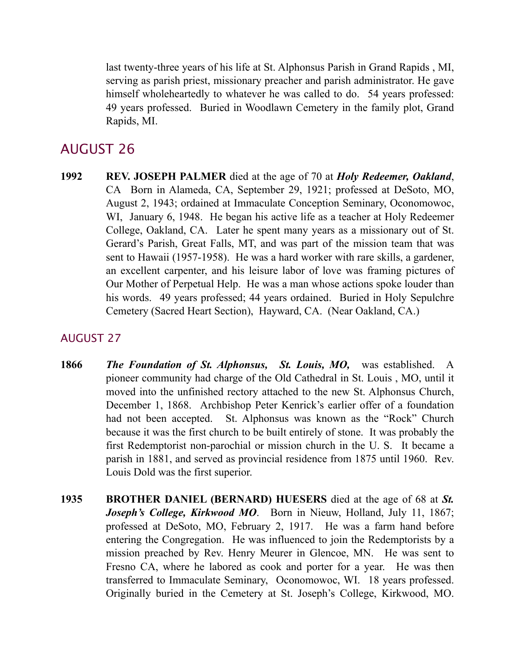last twenty-three years of his life at St. Alphonsus Parish in Grand Rapids , MI, serving as parish priest, missionary preacher and parish administrator. He gave himself wholeheartedly to whatever he was called to do. 54 years professed: 49 years professed. Buried in Woodlawn Cemetery in the family plot, Grand Rapids, MI.

## AUGUST 26

**1992 REV. JOSEPH PALMER** died at the age of 70 at *Holy Redeemer, Oakland*, CA Born in Alameda, CA, September 29, 1921; professed at DeSoto, MO, August 2, 1943; ordained at Immaculate Conception Seminary, Oconomowoc, WI, January 6, 1948. He began his active life as a teacher at Holy Redeemer College, Oakland, CA. Later he spent many years as a missionary out of St. Gerard's Parish, Great Falls, MT, and was part of the mission team that was sent to Hawaii (1957-1958). He was a hard worker with rare skills, a gardener, an excellent carpenter, and his leisure labor of love was framing pictures of Our Mother of Perpetual Help. He was a man whose actions spoke louder than his words. 49 years professed; 44 years ordained. Buried in Holy Sepulchre Cemetery (Sacred Heart Section), Hayward, CA. (Near Oakland, CA.)

- **1866** *The Foundation of St. Alphonsus,**St. Louis, MO,* was established. A pioneer community had charge of the Old Cathedral in St. Louis , MO, until it moved into the unfinished rectory attached to the new St. Alphonsus Church, December 1, 1868. Archbishop Peter Kenrick's earlier offer of a foundation had not been accepted. St. Alphonsus was known as the "Rock" Church because it was the first church to be built entirely of stone. It was probably the first Redemptorist non-parochial or mission church in the U. S. It became a parish in 1881, and served as provincial residence from 1875 until 1960. Rev. Louis Dold was the first superior.
- **1935 BROTHER DANIEL (BERNARD) HUESERS** died at the age of 68 at *St. Joseph's College, Kirkwood MO*. Born in Nieuw, Holland, July 11, 1867; professed at DeSoto, MO, February 2, 1917. He was a farm hand before entering the Congregation. He was influenced to join the Redemptorists by a mission preached by Rev. Henry Meurer in Glencoe, MN. He was sent to Fresno CA, where he labored as cook and porter for a year. He was then transferred to Immaculate Seminary, Oconomowoc, WI. 18 years professed. Originally buried in the Cemetery at St. Joseph's College, Kirkwood, MO.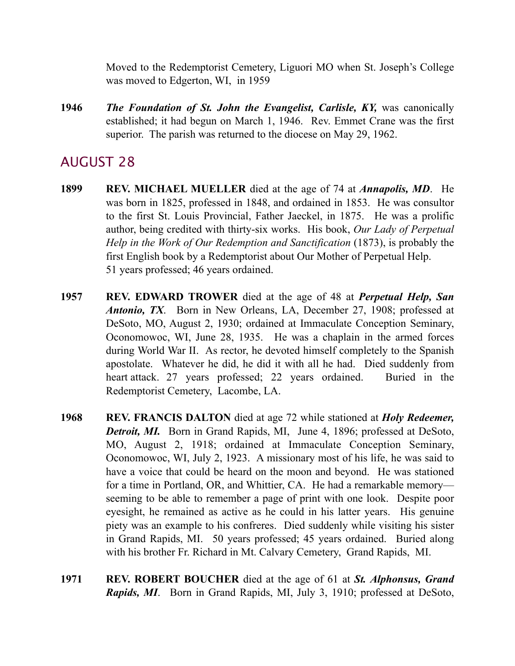Moved to the Redemptorist Cemetery, Liguori MO when St. Joseph's College was moved to Edgerton, WI, in 1959

**1946** *The Foundation of St. John the Evangelist, Carlisle, KY,* was canonically established; it had begun on March 1, 1946. Rev. Emmet Crane was the first superior. The parish was returned to the diocese on May 29, 1962.

- **1899 REV. MICHAEL MUELLER** died at the age of 74 at *Annapolis, MD*. He was born in 1825, professed in 1848, and ordained in 1853. He was consultor to the first St. Louis Provincial, Father Jaeckel, in 1875. He was a prolific author, being credited with thirty-six works. His book, *Our Lady of Perpetual Help in the Work of Our Redemption and Sanctification* (1873), is probably the first English book by a Redemptorist about Our Mother of Perpetual Help. 51 years professed; 46 years ordained.
- **1957 REV. EDWARD TROWER** died at the age of 48 at *Perpetual Help, San Antonio, TX*. Born in New Orleans, LA, December 27, 1908; professed at DeSoto, MO, August 2, 1930; ordained at Immaculate Conception Seminary, Oconomowoc, WI, June 28, 1935. He was a chaplain in the armed forces during World War II. As rector, he devoted himself completely to the Spanish apostolate. Whatever he did, he did it with all he had. Died suddenly from heart attack. 27 years professed; 22 years ordained. Buried in the Redemptorist Cemetery, Lacombe, LA.
- **1968 REV. FRANCIS DALTON** died at age 72 while stationed at *Holy Redeemer, Detroit, MI.* Born in Grand Rapids, MI, June 4, 1896; professed at DeSoto, MO, August 2, 1918; ordained at Immaculate Conception Seminary, Oconomowoc, WI, July 2, 1923. A missionary most of his life, he was said to have a voice that could be heard on the moon and beyond. He was stationed for a time in Portland, OR, and Whittier, CA. He had a remarkable memory seeming to be able to remember a page of print with one look. Despite poor eyesight, he remained as active as he could in his latter years. His genuine piety was an example to his confreres. Died suddenly while visiting his sister in Grand Rapids, MI. 50 years professed; 45 years ordained. Buried along with his brother Fr. Richard in Mt. Calvary Cemetery, Grand Rapids, MI.
- **1971 REV. ROBERT BOUCHER** died at the age of 61 at *St. Alphonsus, Grand Rapids, MI*. Born in Grand Rapids, MI, July 3, 1910; professed at DeSoto,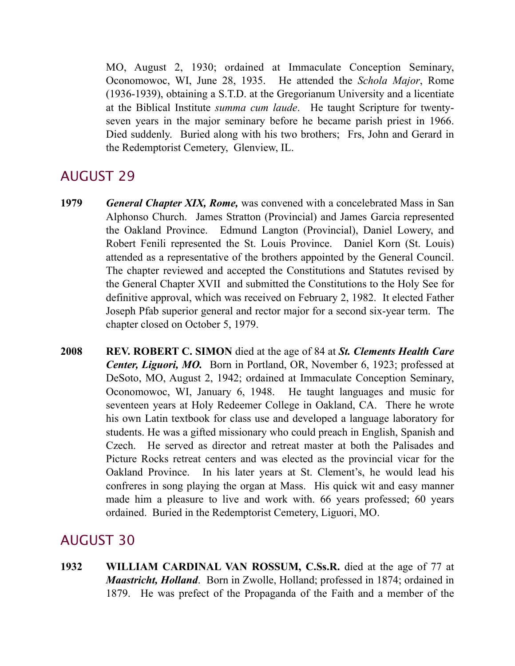MO, August 2, 1930; ordained at Immaculate Conception Seminary, Oconomowoc, WI, June 28, 1935. He attended the *Schola Major*, Rome (1936-1939), obtaining a S.T.D. at the Gregorianum University and a licentiate at the Biblical Institute *summa cum laude*. He taught Scripture for twentyseven years in the major seminary before he became parish priest in 1966. Died suddenly. Buried along with his two brothers; Frs, John and Gerard in the Redemptorist Cemetery, Glenview, IL.

## AUGUST 29

- **1979** *General Chapter XIX, Rome,* was convened with a concelebrated Mass in San Alphonso Church. James Stratton (Provincial) and James Garcia represented the Oakland Province. Edmund Langton (Provincial), Daniel Lowery, and Robert Fenili represented the St. Louis Province. Daniel Korn (St. Louis) attended as a representative of the brothers appointed by the General Council. The chapter reviewed and accepted the Constitutions and Statutes revised by the General Chapter XVII and submitted the Constitutions to the Holy See for definitive approval, which was received on February 2, 1982. It elected Father Joseph Pfab superior general and rector major for a second six-year term. The chapter closed on October 5, 1979.
- **2008 REV. ROBERT C. SIMON** died at the age of 84 at *St. Clements Health Care Center, Liguori, MO.* Born in Portland, OR, November 6, 1923; professed at DeSoto, MO, August 2, 1942; ordained at Immaculate Conception Seminary, Oconomowoc, WI, January 6, 1948. He taught languages and music for seventeen years at Holy Redeemer College in Oakland, CA. There he wrote his own Latin textbook for class use and developed a language laboratory for students. He was a gifted missionary who could preach in English, Spanish and Czech. He served as director and retreat master at both the Palisades and Picture Rocks retreat centers and was elected as the provincial vicar for the Oakland Province. In his later years at St. Clement's, he would lead his confreres in song playing the organ at Mass. His quick wit and easy manner made him a pleasure to live and work with. 66 years professed; 60 years ordained. Buried in the Redemptorist Cemetery, Liguori, MO.

## AUGUST 30

**1932 WILLIAM CARDINAL VAN ROSSUM, C.Ss.R.** died at the age of 77 at *Maastricht, Holland*. Born in Zwolle, Holland; professed in 1874; ordained in 1879. He was prefect of the Propaganda of the Faith and a member of the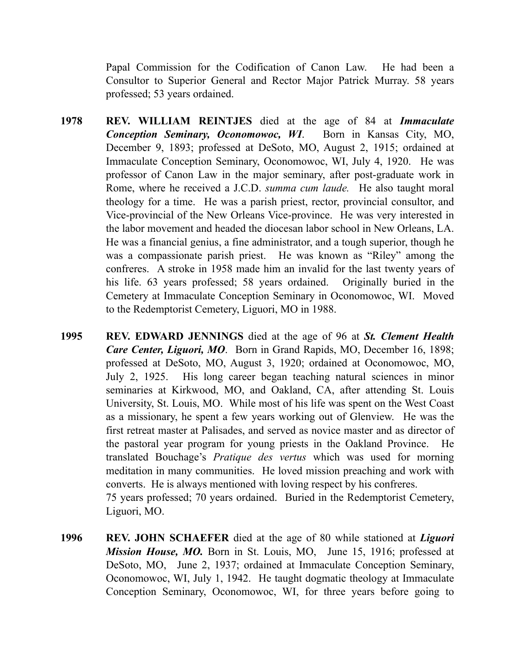Papal Commission for the Codification of Canon Law. He had been a Consultor to Superior General and Rector Major Patrick Murray. 58 years professed; 53 years ordained.

- **1978 REV. WILLIAM REINTJES** died at the age of 84 at *Immaculate Conception Seminary, Oconomowoc, WI*. Born in Kansas City, MO, December 9, 1893; professed at DeSoto, MO, August 2, 1915; ordained at Immaculate Conception Seminary, Oconomowoc, WI, July 4, 1920. He was professor of Canon Law in the major seminary, after post-graduate work in Rome, where he received a J.C.D. *summa cum laude.* He also taught moral theology for a time. He was a parish priest, rector, provincial consultor, and Vice-provincial of the New Orleans Vice-province. He was very interested in the labor movement and headed the diocesan labor school in New Orleans, LA. He was a financial genius, a fine administrator, and a tough superior, though he was a compassionate parish priest. He was known as "Riley" among the confreres. A stroke in 1958 made him an invalid for the last twenty years of his life. 63 years professed; 58 years ordained. Originally buried in the Cemetery at Immaculate Conception Seminary in Oconomowoc, WI. Moved to the Redemptorist Cemetery, Liguori, MO in 1988.
- **1995 REV. EDWARD JENNINGS** died at the age of 96 at *St. Clement Health Care Center, Liguori, MO*. Born in Grand Rapids, MO, December 16, 1898; professed at DeSoto, MO, August 3, 1920; ordained at Oconomowoc, MO, July 2, 1925. His long career began teaching natural sciences in minor seminaries at Kirkwood, MO, and Oakland, CA, after attending St. Louis University, St. Louis, MO. While most of his life was spent on the West Coast as a missionary, he spent a few years working out of Glenview. He was the first retreat master at Palisades, and served as novice master and as director of the pastoral year program for young priests in the Oakland Province. He translated Bouchage's *Pratique des vertus* which was used for morning meditation in many communities. He loved mission preaching and work with converts. He is always mentioned with loving respect by his confreres. 75 years professed; 70 years ordained. Buried in the Redemptorist Cemetery, Liguori, MO.
- **1996 REV. JOHN SCHAEFER** died at the age of 80 while stationed at *Liguori Mission House, MO.* Born in St. Louis, MO, June 15, 1916; professed at DeSoto, MO, June 2, 1937; ordained at Immaculate Conception Seminary, Oconomowoc, WI, July 1, 1942. He taught dogmatic theology at Immaculate Conception Seminary, Oconomowoc, WI, for three years before going to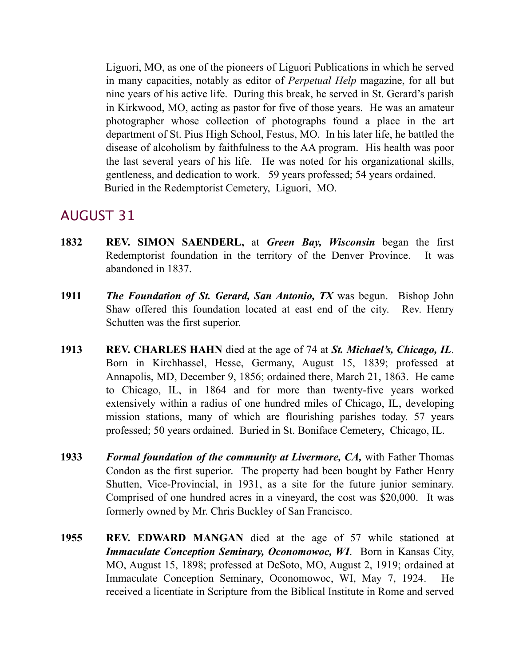Liguori, MO, as one of the pioneers of Liguori Publications in which he served in many capacities, notably as editor of *Perpetual Help* magazine, for all but nine years of his active life. During this break, he served in St. Gerard's parish in Kirkwood, MO, acting as pastor for five of those years. He was an amateur photographer whose collection of photographs found a place in the art department of St. Pius High School, Festus, MO. In his later life, he battled the disease of alcoholism by faithfulness to the AA program. His health was poor the last several years of his life. He was noted for his organizational skills, gentleness, and dedication to work. 59 years professed; 54 years ordained. Buried in the Redemptorist Cemetery, Liguori, MO.

- **1832 REV. SIMON SAENDERL,** at *Green Bay, Wisconsin* began the first Redemptorist foundation in the territory of the Denver Province. It was abandoned in 1837.
- **1911** *The Foundation of St. Gerard, San Antonio, TX* was begun. Bishop John Shaw offered this foundation located at east end of the city. Rev. Henry Schutten was the first superior.
- **1913 REV. CHARLES HAHN** died at the age of 74 at *St. Michael's, Chicago, IL*. Born in Kirchhassel, Hesse, Germany, August 15, 1839; professed at Annapolis, MD, December 9, 1856; ordained there, March 21, 1863. He came to Chicago, IL, in 1864 and for more than twenty-five years worked extensively within a radius of one hundred miles of Chicago, IL, developing mission stations, many of which are flourishing parishes today. 57 years professed; 50 years ordained. Buried in St. Boniface Cemetery, Chicago, IL.
- **1933** *Formal foundation of the community at Livermore, CA,* with Father Thomas Condon as the first superior. The property had been bought by Father Henry Shutten, Vice-Provincial, in 1931, as a site for the future junior seminary. Comprised of one hundred acres in a vineyard, the cost was \$20,000. It was formerly owned by Mr. Chris Buckley of San Francisco.
- **1955 REV. EDWARD MANGAN** died at the age of 57 while stationed at *Immaculate Conception Seminary, Oconomowoc, WI*. Born in Kansas City, MO, August 15, 1898; professed at DeSoto, MO, August 2, 1919; ordained at Immaculate Conception Seminary, Oconomowoc, WI, May 7, 1924. He received a licentiate in Scripture from the Biblical Institute in Rome and served